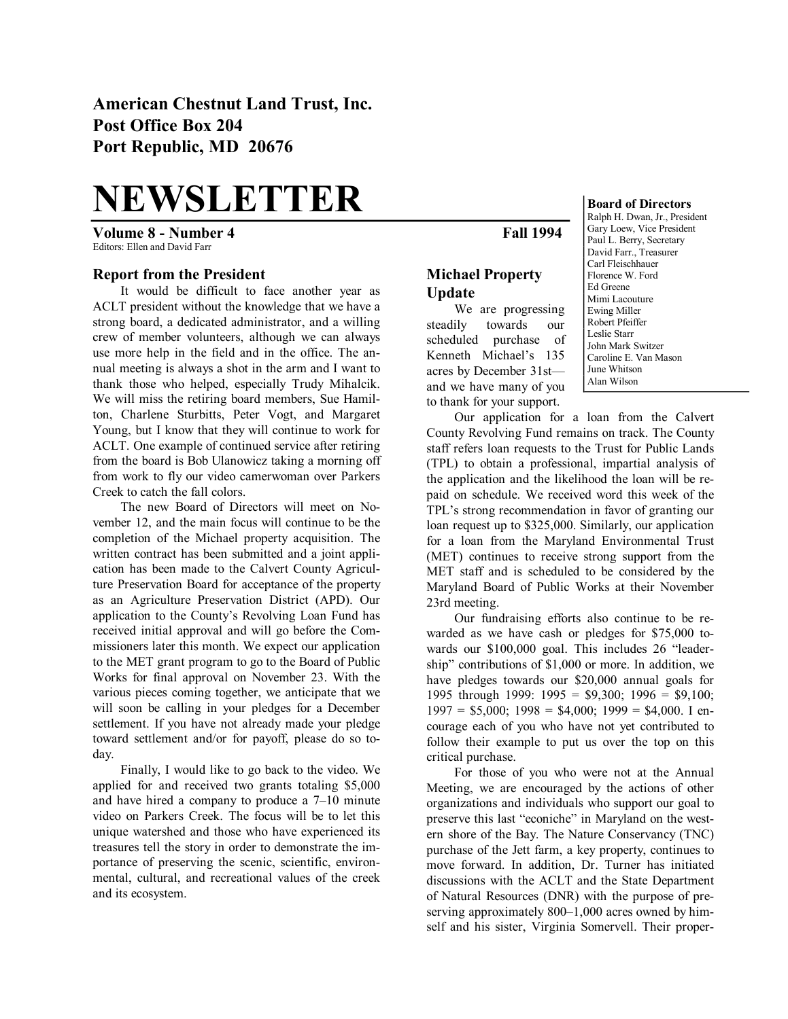**American Chestnut Land Trust, Inc. Post Office Box 204 Port Republic, MD 20676** 

# **NEWSLETTER**

**Volume 8 Number 4 Fall 1994** Editors: Ellen and David Farr

#### **Report from the President**

It would be difficult to face another year as ACLT president without the knowledge that we have a strong board, a dedicated administrator, and a willing crew of member volunteers, although we can always use more help in the field and in the office. The an nual meeting is always a shot in the arm and I want to thank those who helped, especially Trudy Mihalcik. We will miss the retiring board members, Sue Hamil ton, Charlene Sturbitts, Peter Vogt, and Margaret Young, but I know that they will continue to work for ACLT. One example of continued service after retiring from the board is Bob Ulanowicz taking a morning off from work to fly our video camerwoman over Parkers Creek to catch the fall colors.

The new Board of Directors will meet on No vember 12, and the main focus will continue to be the completion of the Michael property acquisition. The written contract has been submitted and a joint appli cation has been made to the Calvert County Agricul ture Preservation Board for acceptance of the property as an Agriculture Preservation District (APD). Our application to the County's Revolving Loan Fund has received initial approval and will go before the Com missioners later this month. We expect our application to the MET grant program to go to the Board of Public Works for final approval on November 23. With the various pieces coming together, we anticipate that we will soon be calling in your pledges for a December settlement. If you have not already made your pledge toward settlement and/or for payoff, please do so to day.

Finally, I would like to go back to the video. We applied for and received two grants totaling \$5,000 and have hired a company to produce a 7–10 minute video on Parkers Creek. The focus will be to let this unique watershed and those who have experienced its treasures tell the story in order to demonstrate the im portance of preserving the scenic, scientific, environ mental, cultural, and recreational values of the creek and its ecosystem.

## **Michael Property Update**

We are progressing steadily towards our scheduled purchase of Kenneth Michael's 135 acres by December 31st and we have many of you to thank for your support.

Ralph H. Dwan, Jr., President Gary Loew, Vice President Paul L. Berry, Secretary David Farr., Treasurer Carl Fleischhauer Florence W. Ford Ed Greene Mimi Lacouture Ewing Miller Robert Pfeiffer Leslie Starr John Mark Switzer Caroline E. Van Mason June Whitson Alan Wilson

**Board of Directors**

Our application for a loan from the Calvert County Revolving Fund remains on track. The County staff refers loan requests to the Trust for Public Lands (TPL) to obtain a professional, impartial analysis of the application and the likelihood the loan will be re paid on schedule. We received word this week of the TPL's strong recommendation in favor of granting our loan request up to \$325,000. Similarly, our application for a loan from the Maryland Environmental Trust (MET) continues to receive strong support from the MET staff and is scheduled to be considered by the Maryland Board of Public Works at their November 23rd meeting.

Our fundraising efforts also continue to be re warded as we have cash or pledges for \$75,000 towards our \$100,000 goal. This includes 26 "leadership" contributions of \$1,000 or more. In addition, we have pledges towards our \$20,000 annual goals for 1995 through 1999: 1995 =  $$9,300; 1996 = $9,100;$  $1997 = $5,000$ ;  $1998 = $4,000$ ;  $1999 = $4,000$ . I encourage each of you who have not yet contributed to follow their example to put us over the top on this critical purchase.

For those of you who were not at the Annual Meeting, we are encouraged by the actions of other organizations and individuals who support our goal to preserve this last "econiche" in Maryland on the west ern shore of the Bay. The Nature Conservancy (TNC) purchase of the Jett farm, a key property, continues to move forward. In addition, Dr. Turner has initiated discussions with the ACLT and the State Department of Natural Resources (DNR) with the purpose of pre serving approximately 800–1,000 acres owned by him self and his sister, Virginia Somervell. Their proper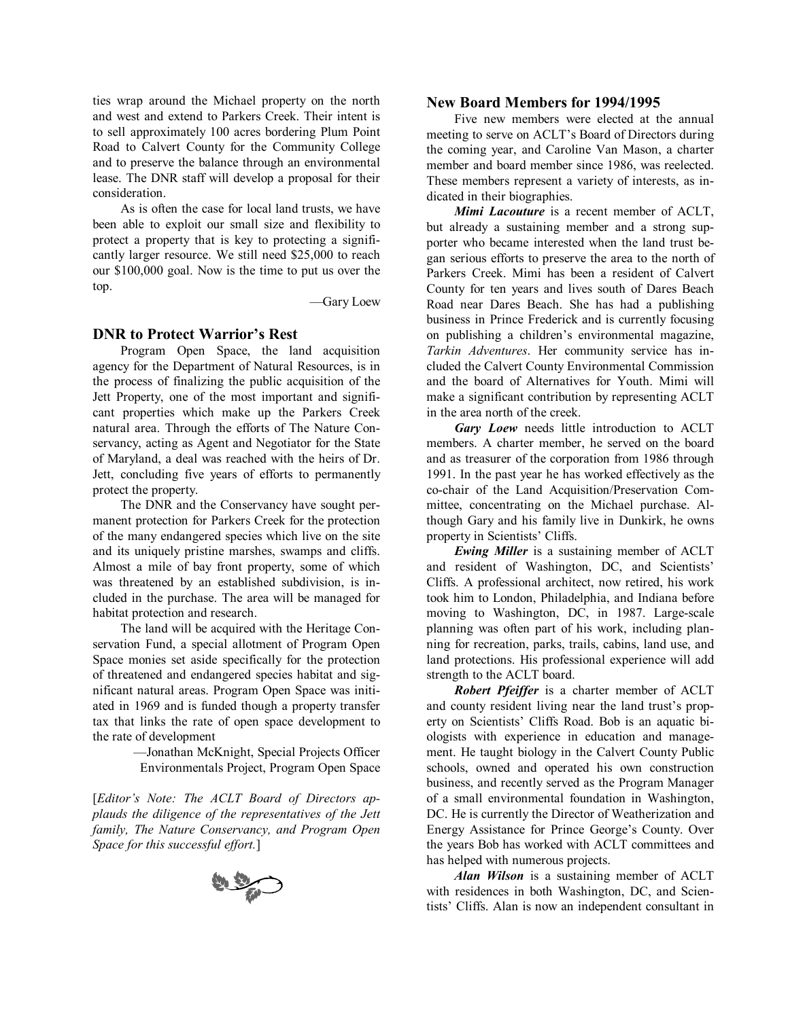ties wrap around the Michael property on the north and west and extend to Parkers Creek. Their intent is to sell approximately 100 acres bordering Plum Point Road to Calvert County for the Community College and to preserve the balance through an environmental lease. The DNR staff will develop a proposal for their consideration.

As is often the case for local land trusts, we have been able to exploit our small size and flexibility to protect a property that is key to protecting a signifi cantly larger resource. We still need \$25,000 to reach our \$100,000 goal. Now is the time to put us over the top.

—Gary Loew

## **DNR to Protect Warrior's Rest**

Program Open Space, the land acquisition agency for the Department of Natural Resources, is in the process of finalizing the public acquisition of the Jett Property, one of the most important and signifi cant properties which make up the Parkers Creek natural area. Through the efforts of The Nature Con servancy, acting as Agent and Negotiator for the State of Maryland, a deal was reached with the heirs of Dr. Jett, concluding five years of efforts to permanently protect the property.

The DNR and the Conservancy have sought per manent protection for Parkers Creek for the protection of the many endangered species which live on the site and its uniquely pristine marshes, swamps and cliffs. Almost a mile of bay front property, some of which was threatened by an established subdivision, is included in the purchase. The area will be managed for habitat protection and research.

The land will be acquired with the Heritage Con servation Fund, a special allotment of Program Open Space monies set aside specifically for the protection of threatened and endangered species habitat and sig nificant natural areas. Program Open Space was initi ated in 1969 and is funded though a property transfer tax that links the rate of open space development to the rate of development

> —Jonathan McKnight, Special Projects Officer Environmentals Project, Program Open Space

[*Editor's Note: The ACLT Board of Directors ap plauds the diligence of the representatives of the Jett family, The Nature Conservancy, and Program Open Space for this successful ef ort.*]



#### **New Board Members for 1994/1995**

Five new members were elected at the annual meeting to serve on ACLT's Board of Directors during the coming year, and Caroline Van Mason, a charter member and board member since 1986, was reelected. These members represent a variety of interests, as in dicated in their biographies.

*Mimi Lacouture* is a recent member of ACLT, but already a sustaining member and a strong sup porter who became interested when the land trust be gan serious efforts to preserve the area to the north of Parkers Creek. Mimi has been a resident of Calvert County for ten years and lives south of Dares Beach Road near Dares Beach. She has had a publishing business in Prince Frederick and is currently focusing on publishing a children's environmental magazine, *Tarkin Adventures*. Her community service has in cluded the Calvert County Environmental Commission and the board of Alternatives for Youth. Mimi will make a significant contribution by representing ACLT in the area north of the creek.

*Gary Loew* needs little introduction to ACLT members. A charter member, he served on the board and as treasurer of the corporation from 1986 through 1991. In the past year he has worked effectively as the cochair of the Land Acquisition/Preservation Com mittee, concentrating on the Michael purchase. Al though Gary and his family live in Dunkirk, he owns property in Scientists' Cliffs.

*Ewing Miller* is a sustaining member of ACLT and resident of Washington, DC, and Scientists' Cliffs. A professional architect, now retired, his work took him to London, Philadelphia, and Indiana before moving to Washington, DC, in 1987. Large-scale planning was often part of his work, including plan ning for recreation, parks, trails, cabins, land use, and land protections. His professional experience will add strength to the ACLT board.

*Robert Pfeiffer* is a charter member of ACLT and county resident living near the land trust's prop erty on Scientists' Cliffs Road. Bob is an aquatic bi ologists with experience in education and manage ment. He taught biology in the Calvert County Public schools, owned and operated his own construction business, and recently served as the Program Manager of a small environmental foundation in Washington, DC. He is currently the Director of Weatherization and Energy Assistance for Prince George's County. Over the years Bob has worked with ACLT committees and has helped with numerous projects.

*Alan Wilson* is a sustaining member of ACLT with residences in both Washington, DC, and Scien tists' Cliffs. Alan is now an independent consultant in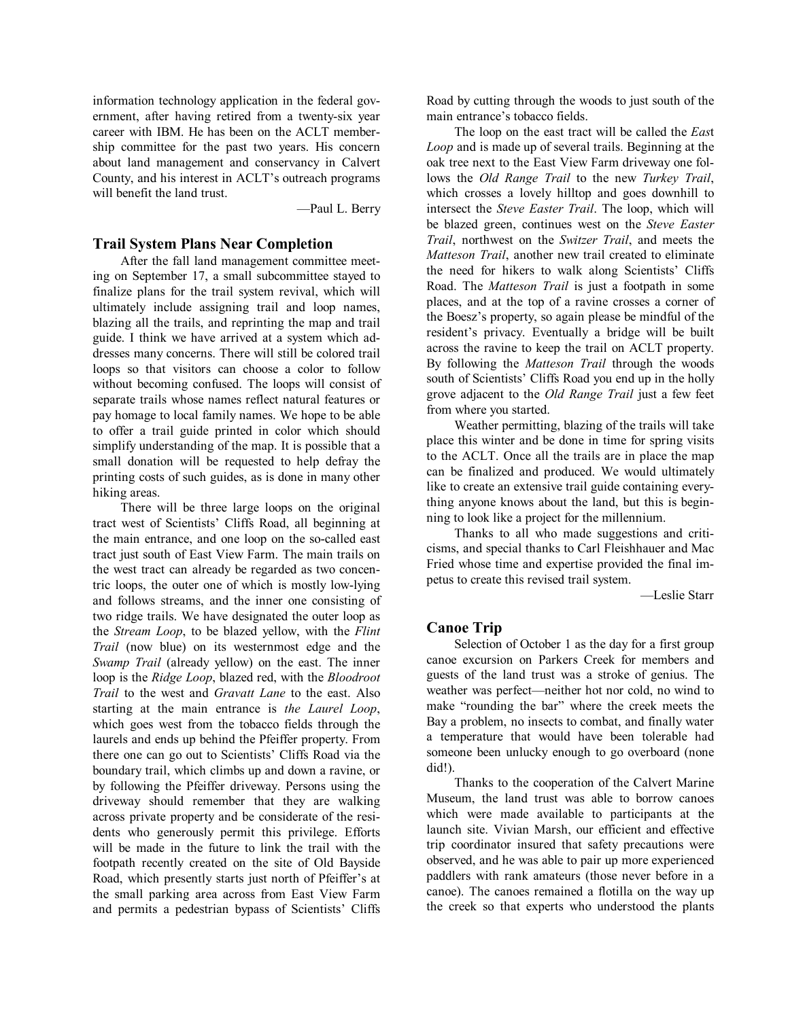information technology application in the federal gov ernment, after having retired from a twenty-six year career with IBM. He has been on the ACLT member ship committee for the past two years. His concern about land management and conservancy in Calvert County, and his interest in ACLT's outreach programs will benefit the land trust.

—Paul L. Berry

### **Trail System Plans Near Completion**

After the fall land management committee meet ing on September 17, a small subcommittee stayed to finalize plans for the trail system revival, which will ultimately include assigning trail and loop names, blazing all the trails, and reprinting the map and trail guide. I think we have arrived at a system which addresses many concerns. There will still be colored trail loops so that visitors can choose a color to follow without becoming confused. The loops will consist of separate trails whose names reflect natural features or pay homage to local family names. We hope to be able to offer a trail guide printed in color which should simplify understanding of the map. It is possible that a small donation will be requested to help defray the printing costs of such guides, as is done in many other hiking areas.

There will be three large loops on the original tract west of Scientists' Cliffs Road, all beginning at the main entrance, and one loop on the so-called east tract just south of East View Farm. The main trails on the west tract can already be regarded as two concen tric loops, the outer one of which is mostly low-lying and follows streams, and the inner one consisting of two ridge trails. We have designated the outer loop as the *Stream Loop*, to be blazed yellow, with the *Flint Trail* (now blue) on its westernmost edge and the *Swamp Trail* (already yellow) on the east. The inner loop is the *Ridge Loop*, blazed red, with the *Bloodroot Trail* to the west and *Gravatt Lane* to the east. Also starting at the main entrance is *the Laurel Loop*, which goes west from the tobacco fields through the laurels and ends up behind the Pfeiffer property. From there one can go out to Scientists' Cliffs Road via the boundary trail, which climbs up and down a ravine, or by following the Pfeiffer driveway. Persons using the driveway should remember that they are walking across private property and be considerate of the resi dents who generously permit this privilege. Efforts will be made in the future to link the trail with the footpath recently created on the site of Old Bayside Road, which presently starts just north of Pfeiffer's at the small parking area across from East View Farm and permits a pedestrian bypass of Scientists' Cliffs

Road by cutting through the woods to just south of the main entrance's tobacco fields.

The loop on the east tract will be called the *Eas*t *Loop* and is made up of several trails. Beginning at the oak tree next to the East View Farm driveway one fol lows the *Old Range Trail* to the new *Turkey Trail*, which crosses a lovely hilltop and goes downhill to intersect the *Steve Easter Trail*. The loop, which will be blazed green, continues west on the *Steve Easter Trail*, northwest on the *Switzer Trail*, and meets the *Matteson Trail*, another new trail created to eliminate the need for hikers to walk along Scientists' Cliffs Road. The *Matteson Trail* is just a footpath in some places, and at the top of a ravine crosses a corner of the Boesz's property, so again please be mindful of the resident's privacy. Eventually a bridge will be built across the ravine to keep the trail on ACLT property. By following the *Matteson Trail* through the woods south of Scientists' Cliffs Road you end up in the holly grove adjacent to the *Old Range Trail* just a few feet from where you started.

Weather permitting, blazing of the trails will take place this winter and be done in time for spring visits to the ACLT. Once all the trails are in place the map can be finalized and produced. We would ultimately like to create an extensive trail guide containing every thing anyone knows about the land, but this is begin ning to look like a project for the millennium.

Thanks to all who made suggestions and criti cisms, and special thanks to Carl Fleishhauer and Mac Fried whose time and expertise provided the final im petus to create this revised trail system.

—Leslie Starr

## **Canoe Trip**

Selection of October 1 as the day for a first group canoe excursion on Parkers Creek for members and guests of the land trust was a stroke of genius. The weather was perfect—neither hot nor cold, no wind to make "rounding the bar" where the creek meets the Bay a problem, no insects to combat, and finally water a temperature that would have been tolerable had someone been unlucky enough to go overboard (none did!).

Thanks to the cooperation of the Calvert Marine Museum, the land trust was able to borrow canoes which were made available to participants at the launch site. Vivian Marsh, our efficient and effective trip coordinator insured that safety precautions were observed, and he was able to pair up more experienced paddlers with rank amateurs (those never before in a canoe). The canoes remained a flotilla on the way up the creek so that experts who understood the plants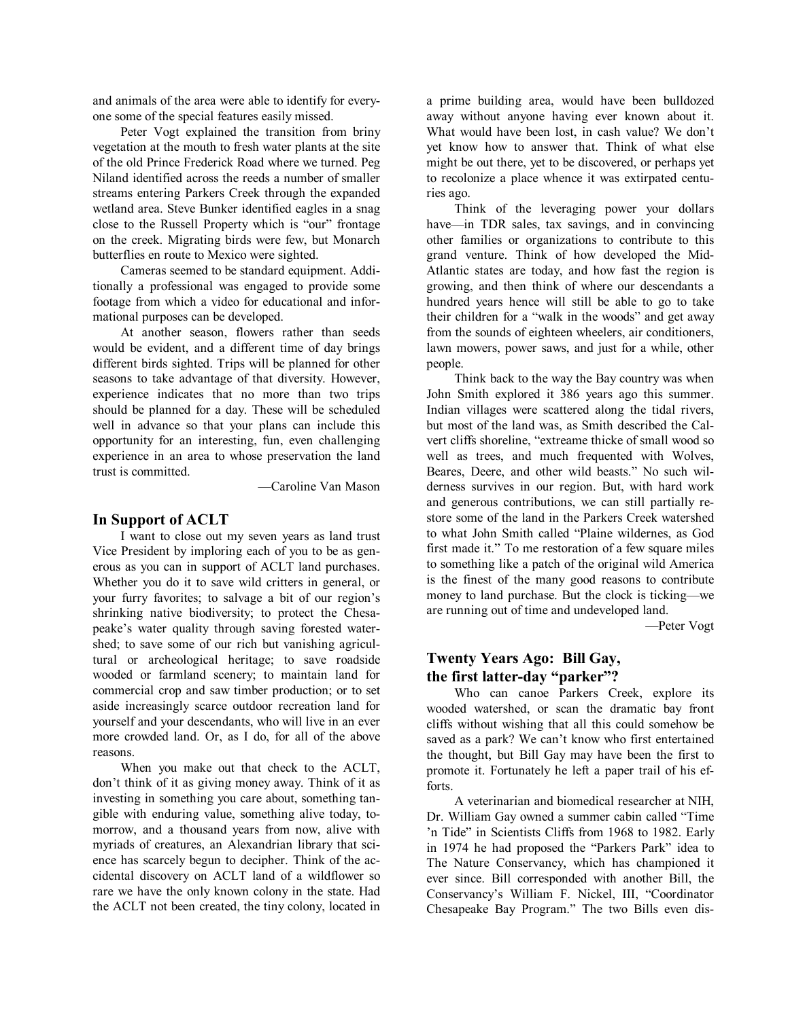and animals of the area were able to identify for every one some of the special features easily missed.

Peter Vogt explained the transition from briny vegetation at the mouth to fresh water plants at the site of the old Prince Frederick Road where we turned. Peg Niland identified across the reeds a number of smaller streams entering Parkers Creek through the expanded wetland area. Steve Bunker identified eagles in a snag close to the Russell Property which is "our" frontage on the creek. Migrating birds were few, but Monarch butterflies en route to Mexico were sighted.

Cameras seemed to be standard equipment. Addi tionally a professional was engaged to provide some footage from which a video for educational and infor mational purposes can be developed.

At another season, flowers rather than seeds would be evident, and a different time of day brings different birds sighted. Trips will be planned for other seasons to take advantage of that diversity. However, experience indicates that no more than two trips should be planned for a day. These will be scheduled well in advance so that your plans can include this opportunity for an interesting, fun, even challenging experience in an area to whose preservation the land trust is committed.

—Caroline Van Mason

### **In Support of ACLT**

I want to close out my seven years as land trust Vice President by imploring each of you to be as gen erous as you can in support of ACLT land purchases. Whether you do it to save wild critters in general, or your furry favorites; to salvage a bit of our region's shrinking native biodiversity; to protect the Chesa peake's water quality through saving forested water shed; to save some of our rich but vanishing agricul tural or archeological heritage; to save roadside wooded or farmland scenery; to maintain land for commercial crop and saw timber production; or to set aside increasingly scarce outdoor recreation land for yourself and your descendants, who will live in an ever more crowded land. Or, as I do, for all of the above reasons.

When you make out that check to the ACLT, don't think of it as giving money away. Think of it as investing in something you care about, something tan gible with enduring value, something alive today, to morrow, and a thousand years from now, alive with myriads of creatures, an Alexandrian library that sci ence has scarcely begun to decipher. Think of the ac cidental discovery on ACLT land of a wildflower so rare we have the only known colony in the state. Had the ACLT not been created, the tiny colony, located in a prime building area, would have been bulldozed away without anyone having ever known about it. What would have been lost, in cash value? We don't yet know how to answer that. Think of what else might be out there, yet to be discovered, or perhaps yet to recolonize a place whence it was extirpated centu ries ago.

Think of the leveraging power your dollars have—in TDR sales, tax savings, and in convincing other families or organizations to contribute to this grand venture. Think of how developed the Mid Atlantic states are today, and how fast the region is growing, and then think of where our descendants a hundred years hence will still be able to go to take their children for a "walk in the woods" and get away from the sounds of eighteen wheelers, air conditioners, lawn mowers, power saws, and just for a while, other people.

Think back to the way the Bay country was when John Smith explored it 386 years ago this summer. Indian villages were scattered along the tidal rivers, but most of the land was, as Smith described the Cal vert cliffs shoreline, "extreame thicke of small wood so well as trees, and much frequented with Wolves, Beares, Deere, and other wild beasts." No such wil derness survives in our region. But, with hard work and generous contributions, we can still partially re store some of the land in the Parkers Creek watershed to what John Smith called "Plaine wildernes, as God first made it." To me restoration of a few square miles to something like a patch of the original wild America is the finest of the many good reasons to contribute money to land purchase. But the clock is ticking—we are running out of time and undeveloped land.

—Peter Vogt

## **Twenty Years Ago: Bill Gay,** the first latter-day "parker"?

Who can canoe Parkers Creek, explore its wooded watershed, or scan the dramatic bay front cliffs without wishing that all this could somehow be saved as a park? We can't know who first entertained the thought, but Bill Gay may have been the first to promote it. Fortunately he left a paper trail of his ef forts.<br>A veterinarian and biomedical researcher at NIH,

Dr. William Gay owned a summer cabin called "Time 'n Tide" in Scientists Cliffs from 1968 to 1982. Early in 1974 he had proposed the "Parkers Park" idea to The Nature Conservancy, which has championed it ever since. Bill corresponded with another Bill, the Conservancy's William F. Nickel, III, "Coordinator Chesapeake Bay Program." The two Bills even dis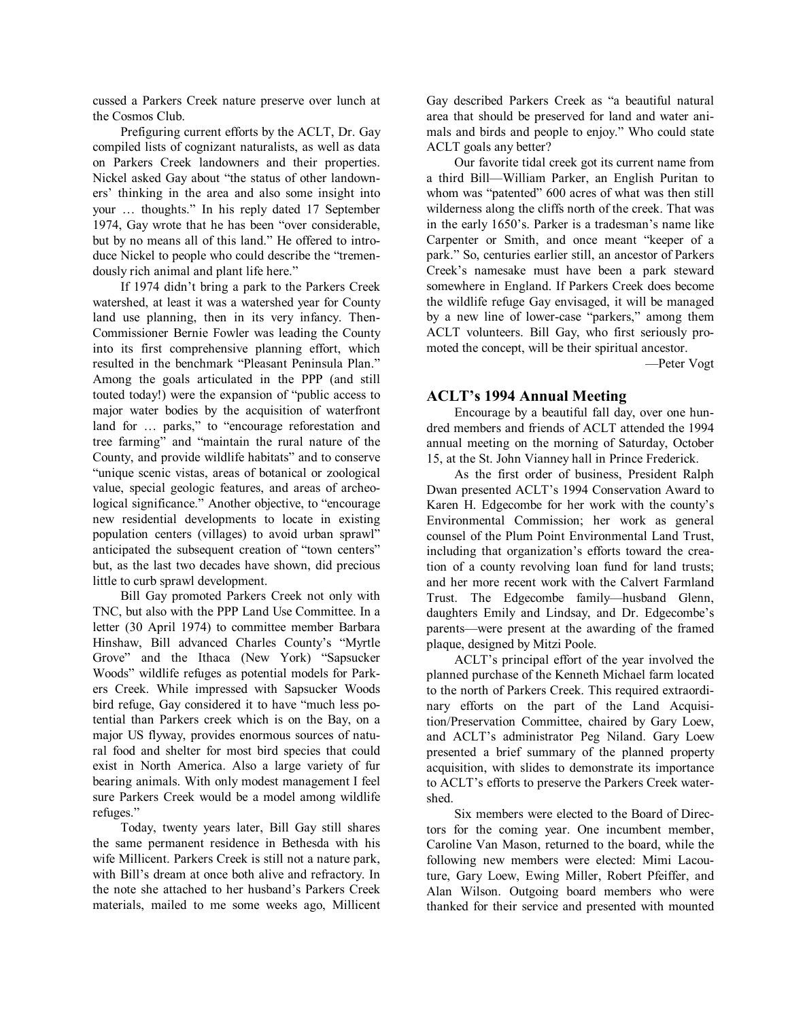cussed a Parkers Creek nature preserve over lunch at the Cosmos Club.

Prefiguring current efforts by the ACLT, Dr. Gay compiled lists of cognizant naturalists, as well as data on Parkers Creek landowners and their properties. Nickel asked Gay about "the status of other landown ers' thinking in the area and also some insight into your ... thoughts." In his reply dated 17 September 1974, Gay wrote that he has been "over considerable, but by no means all of this land." He offered to intro duce Nickel to people who could describe the "tremen dously rich animal and plant life here."

If 1974 didn't bring a park to the Parkers Creek watershed, at least it was a watershed year for County land use planning, then in its very infancy. Then Commissioner Bernie Fowler was leading the County into its first comprehensive planning effort, which resulted in the benchmark "Pleasant Peninsula Plan." Among the goals articulated in the PPP (and still touted today!) were the expansion of "public access to major water bodies by the acquisition of waterfront land for ... parks," to "encourage reforestation and tree farming" and "maintain the rural nature of the County, and provide wildlife habitats" and to conserve "unique scenic vistas, areas of botanical or zoological value, special geologic features, and areas of archeo logical significance." Another objective, to "encourage new residential developments to locate in existing population centers (villages) to avoid urban sprawl" anticipated the subsequent creation of "town centers" but, as the last two decades have shown, did precious little to curb sprawl development.

Bill Gay promoted Parkers Creek not only with TNC, but also with the PPP Land Use Committee. In a letter (30 April 1974) to committee member Barbara Hinshaw, Bill advanced Charles County's "Myrtle Grove" and the Ithaca (New York) "Sapsucker Woods" wildlife refuges as potential models for Park ers Creek. While impressed with Sapsucker Woods bird refuge, Gay considered it to have "much less po tential than Parkers creek which is on the Bay, on a major US flyway, provides enormous sources of natu ral food and shelter for most bird species that could exist in North America. Also a large variety of fur bearing animals. With only modest management I feel sure Parkers Creek would be a model among wildlife refuges."

Today, twenty years later, Bill Gay still shares the same permanent residence in Bethesda with his wife Millicent. Parkers Creek is still not a nature park, with Bill's dream at once both alive and refractory. In the note she attached to her husband's Parkers Creek materials, mailed to me some weeks ago, Millicent Gay described Parkers Creek as "a beautiful natural area that should be preserved for land and water ani mals and birds and people to enjoy." Who could state ACLT goals any better?

Our favorite tidal creek got its current name from a third Bill—William Parker, an English Puritan to whom was "patented" 600 acres of what was then still wilderness along the cliffs north of the creek. That was in the early 1650's. Parker is a tradesman's name like Carpenter or Smith, and once meant "keeper of a park." So, centuries earlier still, an ancestor of Parkers Creek's namesake must have been a park steward somewhere in England. If Parkers Creek does become the wildlife refuge Gay envisaged, it will be managed by a new line of lower-case "parkers," among them ACLT volunteers. Bill Gay, who first seriously pro moted the concept, will be their spiritual ancestor.

—Peter Vogt

## **ACLT's 1994 Annual Meeting**

Encourage by a beautiful fall day, over one hun dred members and friends of ACLT attended the 1994 annual meeting on the morning of Saturday, October 15, at the St. John Vianney hall in Prince Frederick.

As the first order of business, President Ralph Dwan presented ACLT's 1994 Conservation Award to Karen H. Edgecombe for her work with the county's Environmental Commission; her work as general counsel of the Plum Point Environmental Land Trust, including that organization's efforts toward the crea tion of a county revolving loan fund for land trusts; and her more recent work with the Calvert Farmland Trust. The Edgecombe family—husband Glenn, daughters Emily and Lindsay, and Dr. Edgecombe's parents—were present at the awarding of the framed plaque, designed by Mitzi Poole.

ACLT's principal effort of the year involved the planned purchase of the Kenneth Michael farm located to the north of Parkers Creek. This required extraordi nary efforts on the part of the Land Acquisi tion/Preservation Committee, chaired by Gary Loew, and ACLT's administrator Peg Niland. Gary Loew presented a brief summary of the planned property acquisition, with slides to demonstrate its importance to ACLT's efforts to preserve the Parkers Creek water shed.

Six members were elected to the Board of Direc tors for the coming year. One incumbent member, Caroline Van Mason, returned to the board, while the following new members were elected: Mimi Lacou ture, Gary Loew, Ewing Miller, Robert Pfeiffer, and Alan Wilson. Outgoing board members who were thanked for their service and presented with mounted